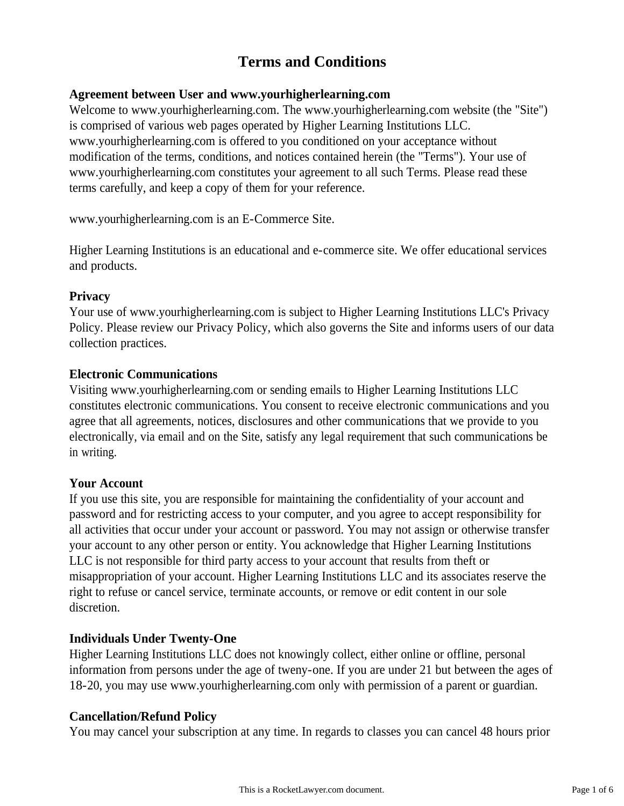# **Terms and Conditions**

## **Agreement between User and www.yourhigherlearning.com**

Welcome to www.yourhigherlearning.com. The www.yourhigherlearning.com website (the "Site") is comprised of various web pages operated by Higher Learning Institutions LLC. www.yourhigherlearning.com is offered to you conditioned on your acceptance without modification of the terms, conditions, and notices contained herein (the "Terms"). Your use of www.yourhigherlearning.com constitutes your agreement to all such Terms. Please read these terms carefully, and keep a copy of them for your reference.

www.yourhigherlearning.com is an E-Commerce Site.

Higher Learning Institutions is an educational and e-commerce site. We offer educational services and products.

## **Privacy**

Your use of www.yourhigherlearning.com is subject to Higher Learning Institutions LLC's Privacy Policy. Please review our Privacy Policy, which also governs the Site and informs users of our data collection practices.

## **Electronic Communications**

Visiting www.yourhigherlearning.com or sending emails to Higher Learning Institutions LLC constitutes electronic communications. You consent to receive electronic communications and you agree that all agreements, notices, disclosures and other communications that we provide to you electronically, via email and on the Site, satisfy any legal requirement that such communications be in writing.

#### **Your Account**

If you use this site, you are responsible for maintaining the confidentiality of your account and password and for restricting access to your computer, and you agree to accept responsibility for all activities that occur under your account or password. You may not assign or otherwise transfer your account to any other person or entity. You acknowledge that Higher Learning Institutions LLC is not responsible for third party access to your account that results from theft or misappropriation of your account. Higher Learning Institutions LLC and its associates reserve the right to refuse or cancel service, terminate accounts, or remove or edit content in our sole discretion.

#### **Individuals Under Twenty-One**

Higher Learning Institutions LLC does not knowingly collect, either online or offline, personal information from persons under the age of tweny-one. If you are under 21 but between the ages of 18-20, you may use www.yourhigherlearning.com only with permission of a parent or guardian.

#### **Cancellation/Refund Policy**

You may cancel your subscription at any time. In regards to classes you can cancel 48 hours prior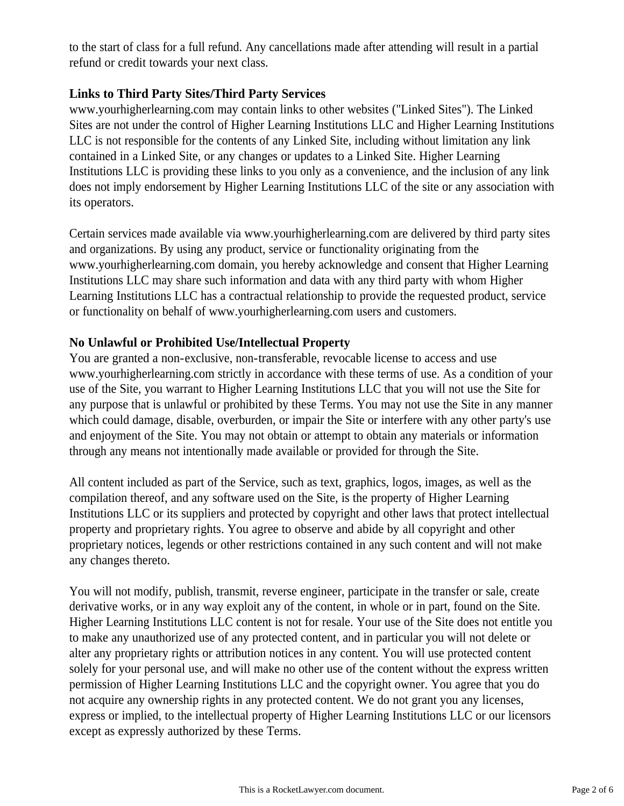to the start of class for a full refund. Any cancellations made after attending will result in a partial refund or credit towards your next class.

## **Links to Third Party Sites/Third Party Services**

www.yourhigherlearning.com may contain links to other websites ("Linked Sites"). The Linked Sites are not under the control of Higher Learning Institutions LLC and Higher Learning Institutions LLC is not responsible for the contents of any Linked Site, including without limitation any link contained in a Linked Site, or any changes or updates to a Linked Site. Higher Learning Institutions LLC is providing these links to you only as a convenience, and the inclusion of any link does not imply endorsement by Higher Learning Institutions LLC of the site or any association with its operators.

Certain services made available via www.yourhigherlearning.com are delivered by third party sites and organizations. By using any product, service or functionality originating from the www.yourhigherlearning.com domain, you hereby acknowledge and consent that Higher Learning Institutions LLC may share such information and data with any third party with whom Higher Learning Institutions LLC has a contractual relationship to provide the requested product, service or functionality on behalf of www.yourhigherlearning.com users and customers.

## **No Unlawful or Prohibited Use/Intellectual Property**

You are granted a non-exclusive, non-transferable, revocable license to access and use www.yourhigherlearning.com strictly in accordance with these terms of use. As a condition of your use of the Site, you warrant to Higher Learning Institutions LLC that you will not use the Site for any purpose that is unlawful or prohibited by these Terms. You may not use the Site in any manner which could damage, disable, overburden, or impair the Site or interfere with any other party's use and enjoyment of the Site. You may not obtain or attempt to obtain any materials or information through any means not intentionally made available or provided for through the Site.

All content included as part of the Service, such as text, graphics, logos, images, as well as the compilation thereof, and any software used on the Site, is the property of Higher Learning Institutions LLC or its suppliers and protected by copyright and other laws that protect intellectual property and proprietary rights. You agree to observe and abide by all copyright and other proprietary notices, legends or other restrictions contained in any such content and will not make any changes thereto.

You will not modify, publish, transmit, reverse engineer, participate in the transfer or sale, create derivative works, or in any way exploit any of the content, in whole or in part, found on the Site. Higher Learning Institutions LLC content is not for resale. Your use of the Site does not entitle you to make any unauthorized use of any protected content, and in particular you will not delete or alter any proprietary rights or attribution notices in any content. You will use protected content solely for your personal use, and will make no other use of the content without the express written permission of Higher Learning Institutions LLC and the copyright owner. You agree that you do not acquire any ownership rights in any protected content. We do not grant you any licenses, express or implied, to the intellectual property of Higher Learning Institutions LLC or our licensors except as expressly authorized by these Terms.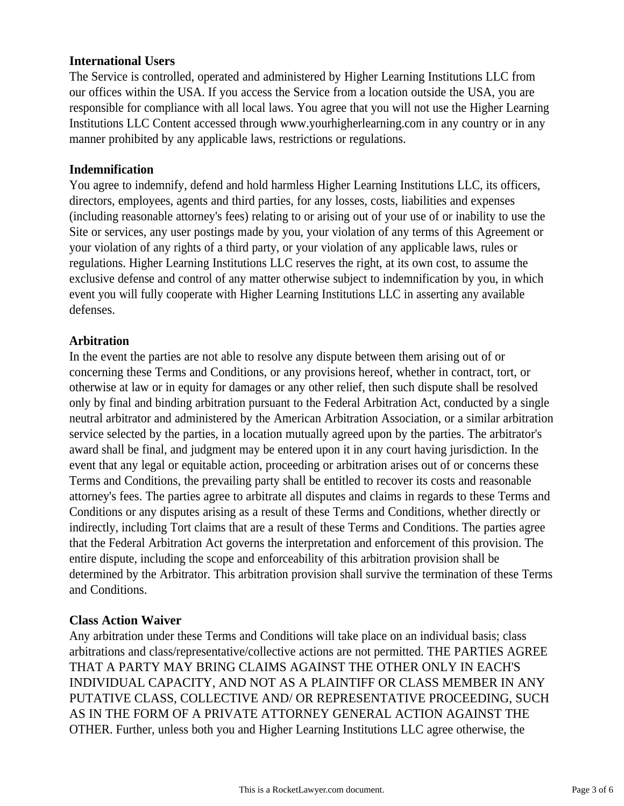## **International Users**

The Service is controlled, operated and administered by Higher Learning Institutions LLC from our offices within the USA. If you access the Service from a location outside the USA, you are responsible for compliance with all local laws. You agree that you will not use the Higher Learning Institutions LLC Content accessed through www.yourhigherlearning.com in any country or in any manner prohibited by any applicable laws, restrictions or regulations.

#### **Indemnification**

You agree to indemnify, defend and hold harmless Higher Learning Institutions LLC, its officers, directors, employees, agents and third parties, for any losses, costs, liabilities and expenses (including reasonable attorney's fees) relating to or arising out of your use of or inability to use the Site or services, any user postings made by you, your violation of any terms of this Agreement or your violation of any rights of a third party, or your violation of any applicable laws, rules or regulations. Higher Learning Institutions LLC reserves the right, at its own cost, to assume the exclusive defense and control of any matter otherwise subject to indemnification by you, in which event you will fully cooperate with Higher Learning Institutions LLC in asserting any available defenses.

## **Arbitration**

In the event the parties are not able to resolve any dispute between them arising out of or concerning these Terms and Conditions, or any provisions hereof, whether in contract, tort, or otherwise at law or in equity for damages or any other relief, then such dispute shall be resolved only by final and binding arbitration pursuant to the Federal Arbitration Act, conducted by a single neutral arbitrator and administered by the American Arbitration Association, or a similar arbitration service selected by the parties, in a location mutually agreed upon by the parties. The arbitrator's award shall be final, and judgment may be entered upon it in any court having jurisdiction. In the event that any legal or equitable action, proceeding or arbitration arises out of or concerns these Terms and Conditions, the prevailing party shall be entitled to recover its costs and reasonable attorney's fees. The parties agree to arbitrate all disputes and claims in regards to these Terms and Conditions or any disputes arising as a result of these Terms and Conditions, whether directly or indirectly, including Tort claims that are a result of these Terms and Conditions. The parties agree that the Federal Arbitration Act governs the interpretation and enforcement of this provision. The entire dispute, including the scope and enforceability of this arbitration provision shall be determined by the Arbitrator. This arbitration provision shall survive the termination of these Terms and Conditions.

## **Class Action Waiver**

Any arbitration under these Terms and Conditions will take place on an individual basis; class arbitrations and class/representative/collective actions are not permitted. THE PARTIES AGREE THAT A PARTY MAY BRING CLAIMS AGAINST THE OTHER ONLY IN EACH'S INDIVIDUAL CAPACITY, AND NOT AS A PLAINTIFF OR CLASS MEMBER IN ANY PUTATIVE CLASS, COLLECTIVE AND/ OR REPRESENTATIVE PROCEEDING, SUCH AS IN THE FORM OF A PRIVATE ATTORNEY GENERAL ACTION AGAINST THE OTHER. Further, unless both you and Higher Learning Institutions LLC agree otherwise, the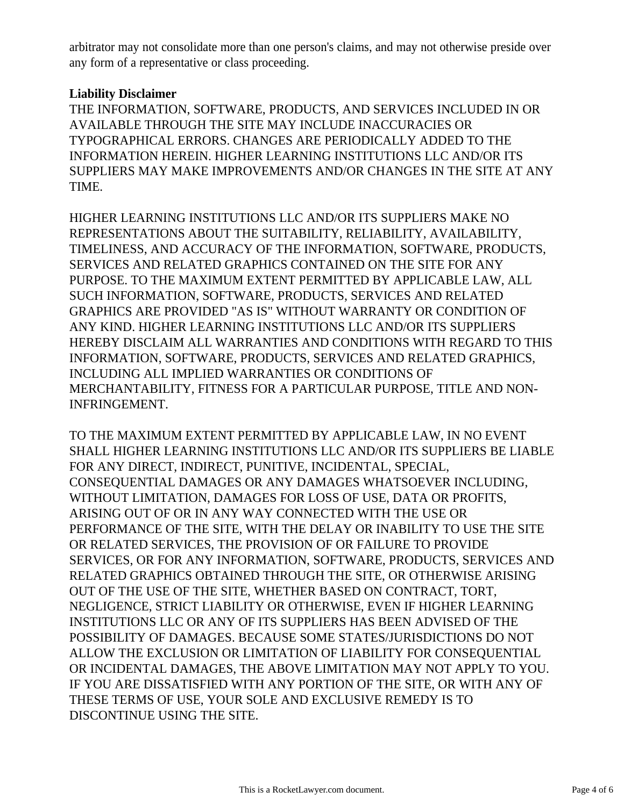arbitrator may not consolidate more than one person's claims, and may not otherwise preside over any form of a representative or class proceeding.

#### **Liability Disclaimer**

THE INFORMATION, SOFTWARE, PRODUCTS, AND SERVICES INCLUDED IN OR AVAILABLE THROUGH THE SITE MAY INCLUDE INACCURACIES OR TYPOGRAPHICAL ERRORS. CHANGES ARE PERIODICALLY ADDED TO THE INFORMATION HEREIN. HIGHER LEARNING INSTITUTIONS LLC AND/OR ITS SUPPLIERS MAY MAKE IMPROVEMENTS AND/OR CHANGES IN THE SITE AT ANY TIME.

HIGHER LEARNING INSTITUTIONS LLC AND/OR ITS SUPPLIERS MAKE NO REPRESENTATIONS ABOUT THE SUITABILITY, RELIABILITY, AVAILABILITY, TIMELINESS, AND ACCURACY OF THE INFORMATION, SOFTWARE, PRODUCTS, SERVICES AND RELATED GRAPHICS CONTAINED ON THE SITE FOR ANY PURPOSE. TO THE MAXIMUM EXTENT PERMITTED BY APPLICABLE LAW, ALL SUCH INFORMATION, SOFTWARE, PRODUCTS, SERVICES AND RELATED GRAPHICS ARE PROVIDED "AS IS" WITHOUT WARRANTY OR CONDITION OF ANY KIND. HIGHER LEARNING INSTITUTIONS LLC AND/OR ITS SUPPLIERS HEREBY DISCLAIM ALL WARRANTIES AND CONDITIONS WITH REGARD TO THIS INFORMATION, SOFTWARE, PRODUCTS, SERVICES AND RELATED GRAPHICS, INCLUDING ALL IMPLIED WARRANTIES OR CONDITIONS OF MERCHANTABILITY, FITNESS FOR A PARTICULAR PURPOSE, TITLE AND NON-INFRINGEMENT.

TO THE MAXIMUM EXTENT PERMITTED BY APPLICABLE LAW, IN NO EVENT SHALL HIGHER LEARNING INSTITUTIONS LLC AND/OR ITS SUPPLIERS BE LIABLE FOR ANY DIRECT, INDIRECT, PUNITIVE, INCIDENTAL, SPECIAL, CONSEQUENTIAL DAMAGES OR ANY DAMAGES WHATSOEVER INCLUDING, WITHOUT LIMITATION, DAMAGES FOR LOSS OF USE, DATA OR PROFITS, ARISING OUT OF OR IN ANY WAY CONNECTED WITH THE USE OR PERFORMANCE OF THE SITE, WITH THE DELAY OR INABILITY TO USE THE SITE OR RELATED SERVICES, THE PROVISION OF OR FAILURE TO PROVIDE SERVICES, OR FOR ANY INFORMATION, SOFTWARE, PRODUCTS, SERVICES AND RELATED GRAPHICS OBTAINED THROUGH THE SITE, OR OTHERWISE ARISING OUT OF THE USE OF THE SITE, WHETHER BASED ON CONTRACT, TORT, NEGLIGENCE, STRICT LIABILITY OR OTHERWISE, EVEN IF HIGHER LEARNING INSTITUTIONS LLC OR ANY OF ITS SUPPLIERS HAS BEEN ADVISED OF THE POSSIBILITY OF DAMAGES. BECAUSE SOME STATES/JURISDICTIONS DO NOT ALLOW THE EXCLUSION OR LIMITATION OF LIABILITY FOR CONSEQUENTIAL OR INCIDENTAL DAMAGES, THE ABOVE LIMITATION MAY NOT APPLY TO YOU. IF YOU ARE DISSATISFIED WITH ANY PORTION OF THE SITE, OR WITH ANY OF THESE TERMS OF USE, YOUR SOLE AND EXCLUSIVE REMEDY IS TO DISCONTINUE USING THE SITE.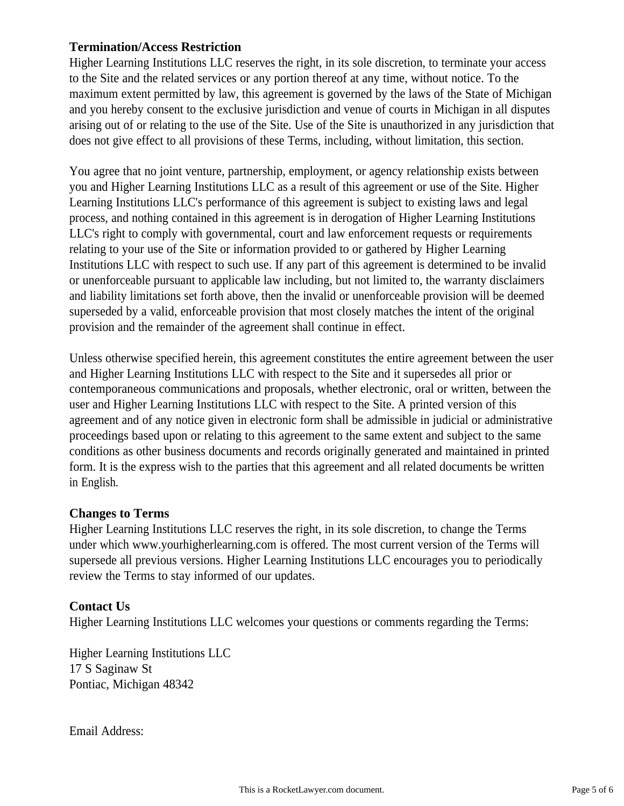## **Termination/Access Restriction**

Higher Learning Institutions LLC reserves the right, in its sole discretion, to terminate your access to the Site and the related services or any portion thereof at any time, without notice. To the maximum extent permitted by law, this agreement is governed by the laws of the State of Michigan and you hereby consent to the exclusive jurisdiction and venue of courts in Michigan in all disputes arising out of or relating to the use of the Site. Use of the Site is unauthorized in any jurisdiction that does not give effect to all provisions of these Terms, including, without limitation, this section.

You agree that no joint venture, partnership, employment, or agency relationship exists between you and Higher Learning Institutions LLC as a result of this agreement or use of the Site. Higher Learning Institutions LLC's performance of this agreement is subject to existing laws and legal process, and nothing contained in this agreement is in derogation of Higher Learning Institutions LLC's right to comply with governmental, court and law enforcement requests or requirements relating to your use of the Site or information provided to or gathered by Higher Learning Institutions LLC with respect to such use. If any part of this agreement is determined to be invalid or unenforceable pursuant to applicable law including, but not limited to, the warranty disclaimers and liability limitations set forth above, then the invalid or unenforceable provision will be deemed superseded by a valid, enforceable provision that most closely matches the intent of the original provision and the remainder of the agreement shall continue in effect.

Unless otherwise specified herein, this agreement constitutes the entire agreement between the user and Higher Learning Institutions LLC with respect to the Site and it supersedes all prior or contemporaneous communications and proposals, whether electronic, oral or written, between the user and Higher Learning Institutions LLC with respect to the Site. A printed version of this agreement and of any notice given in electronic form shall be admissible in judicial or administrative proceedings based upon or relating to this agreement to the same extent and subject to the same conditions as other business documents and records originally generated and maintained in printed form. It is the express wish to the parties that this agreement and all related documents be written in English.

#### **Changes to Terms**

Higher Learning Institutions LLC reserves the right, in its sole discretion, to change the Terms under which www.yourhigherlearning.com is offered. The most current version of the Terms will supersede all previous versions. Higher Learning Institutions LLC encourages you to periodically review the Terms to stay informed of our updates.

#### **Contact Us**

Higher Learning Institutions LLC welcomes your questions or comments regarding the Terms:

Higher Learning Institutions LLC 17 S Saginaw St Pontiac, Michigan 48342

Email Address: